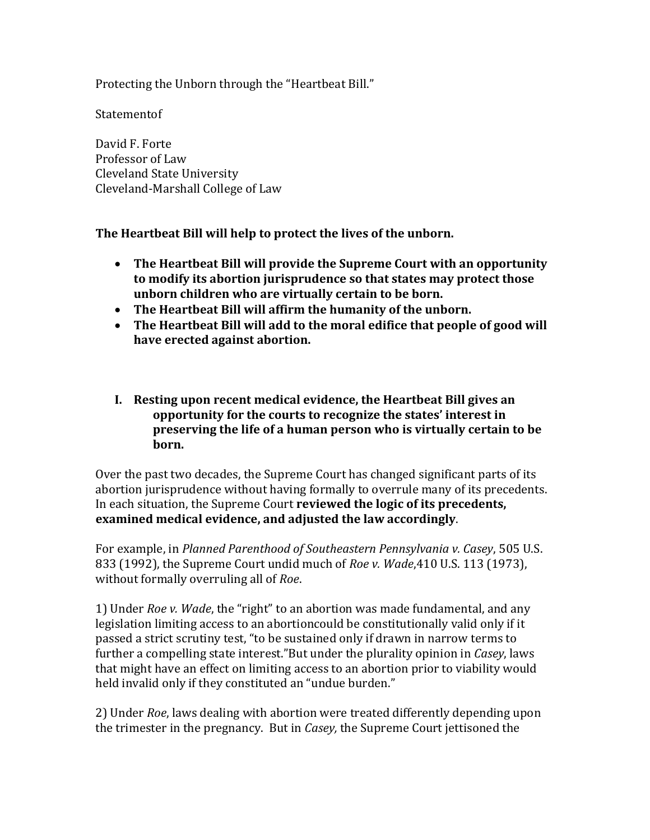Protecting the Unborn through the "Heartbeat Bill."

**Statementof** 

David F. Forte Professor of Law Cleveland State University Cleveland-Marshall College of Law

**The Heartbeat Bill will help to protect the lives of the unborn.**

- **The Heartbeat Bill will provide the Supreme Court with an opportunity to modify its abortion jurisprudence so that states may protect those unborn children who are virtually certain to be born.**
- **The Heartbeat Bill will affirm the humanity of the unborn.**
- **The Heartbeat Bill will add to the moral edifice that people of good will have erected against abortion.**
- **I. Resting upon recent medical evidence, the Heartbeat Bill gives an opportunity for the courts to recognize the states' interest in preserving the life of a human person who is virtually certain to be born.**

Over the past two decades, the Supreme Court has changed significant parts of its abortion jurisprudence without having formally to overrule many of its precedents. In each situation, the Supreme Court **reviewed the logic of its precedents, examined medical evidence, and adjusted the law accordingly**.

For example, in *Planned Parenthood of Southeastern Pennsylvania v. Casey*, 505 U.S. 833 (1992), the Supreme Court undid much of *Roe v. Wade*,410 U.S. 113 (1973), without formally overruling all of *Roe*.

1) Under *Roe v. Wade*, the "right" to an abortion was made fundamental, and any legislation limiting access to an abortioncould be constitutionally valid only if it passed a strict scrutiny test, "to be sustained only if drawn in narrow terms to further a compelling state interest."But under the plurality opinion in *Casey*, laws that might have an effect on limiting access to an abortion prior to viability would held invalid only if they constituted an "undue burden."

2) Under *Roe*, laws dealing with abortion were treated differently depending upon the trimester in the pregnancy. But in *Casey,* the Supreme Court jettisoned the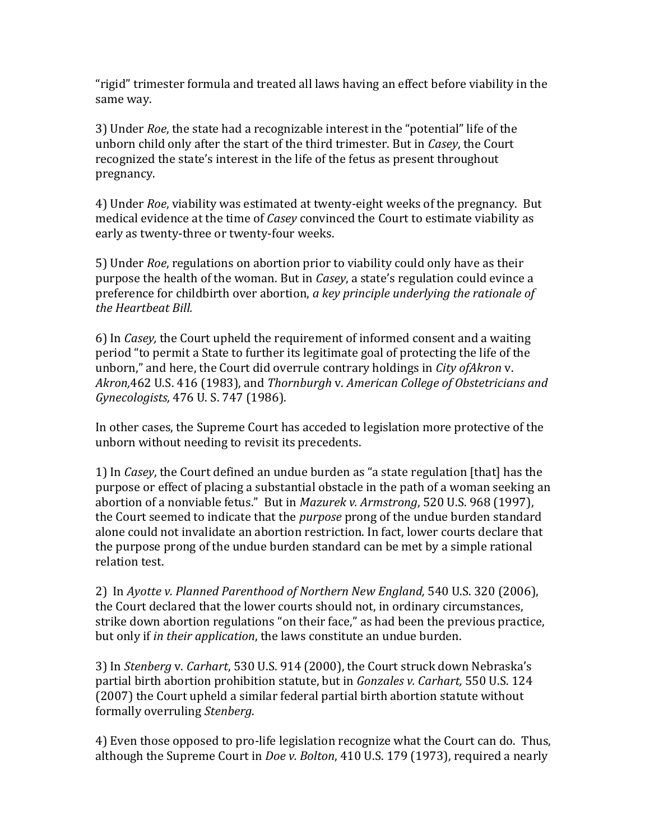"rigid" trimester formula and treated all laws having an effect before viability in the same way.

3) Under *Roe*, the state had a recognizable interest in the "potential" life of the unborn child only after the start of the third trimester. But in *Casey*, the Court recognized the state's interest in the life of the fetus as present throughout pregnancy.

4) Under *Roe*, viability was estimated at twenty-eight weeks of the pregnancy. But medical evidence at the time of *Casey* convinced the Court to estimate viability as early as twenty-three or twenty-four weeks.

5) Under *Roe*, regulations on abortion prior to viability could only have as their purpose the health of the woman. But in *Casey*, a state's regulation could evince a preference for childbirth over abortion, *a key principle underlying the rationale of the Heartbeat Bill.*

6) In *Casey,* the Court upheld the requirement of informed consent and a waiting period "to permit a State to further its legitimate goal of protecting the life of the unborn," and here, the Court did overrule contrary holdings in *City ofAkron* v. *Akron,*462 U.S. 416 (1983), and *Thornburgh* v. *American College of Obstetricians and Gynecologists,* 476 U. S. 747 (1986).

In other cases, the Supreme Court has acceded to legislation more protective of the unborn without needing to revisit its precedents.

1) In *Casey*, the Court defined an undue burden as "a state regulation [that] has the purpose or effect of placing a substantial obstacle in the path of a woman seeking an abortion of a nonviable fetus." But in *Mazurek v. Armstrong*, 520 U.S. 968 (1997), the Court seemed to indicate that the *purpose* prong of the undue burden standard alone could not invalidate an abortion restriction. In fact, lower courts declare that the purpose prong of the undue burden standard can be met by a simple rational relation test.

2) In *Ayotte v. Planned Parenthood of Northern New England,* 540 U.S. 320 (2006), the Court declared that the lower courts should not, in ordinary circumstances, strike down abortion regulations "on their face," as had been the previous practice, but only if *in their application*, the laws constitute an undue burden.

3) In *Stenberg* v. *Carhart*, 530 U.S. 914 (2000), the Court struck down Nebraska's partial birth abortion prohibition statute, but in *Gonzales v. Carhart,* 550 U.S. 124 (2007) the Court upheld a similar federal partial birth abortion statute without formally overruling *Stenberg*.

4) Even those opposed to pro-life legislation recognize what the Court can do. Thus, although the Supreme Court in *Doe v. Bolton*, 410 U.S. 179 (1973), required a nearly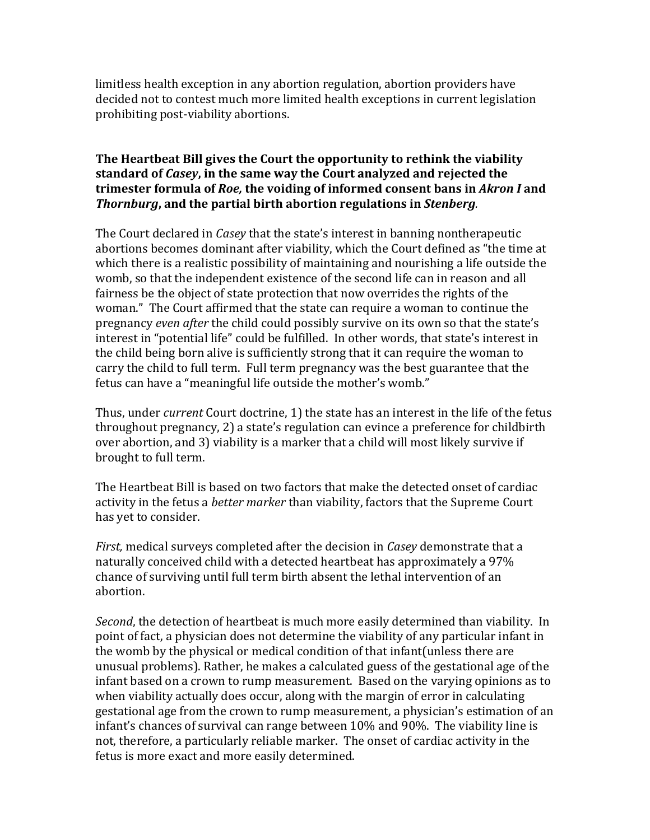limitless health exception in any abortion regulation, abortion providers have decided not to contest much more limited health exceptions in current legislation prohibiting post-viability abortions.

## **The Heartbeat Bill gives the Court the opportunity to rethink the viability standard of** *Casey***, in the same way the Court analyzed and rejected the trimester formula of** *Roe,* **the voiding of informed consent bans in** *Akron I* **and**  *Thornburg***, and the partial birth abortion regulations in** *Stenberg.*

The Court declared in *Casey* that the state's interest in banning nontherapeutic abortions becomes dominant after viability, which the Court defined as "the time at which there is a realistic possibility of maintaining and nourishing a life outside the womb, so that the independent existence of the second life can in reason and all fairness be the object of state protection that now overrides the rights of the woman." The Court affirmed that the state can require a woman to continue the pregnancy *even after* the child could possibly survive on its own so that the state's interest in "potential life" could be fulfilled. In other words, that state's interest in the child being born alive is sufficiently strong that it can require the woman to carry the child to full term. Full term pregnancy was the best guarantee that the fetus can have a "meaningful life outside the mother's womb."

Thus, under *current* Court doctrine, 1) the state has an interest in the life of the fetus throughout pregnancy, 2) a state's regulation can evince a preference for childbirth over abortion, and 3) viability is a marker that a child will most likely survive if brought to full term.

The Heartbeat Bill is based on two factors that make the detected onset of cardiac activity in the fetus a *better marker* than viability, factors that the Supreme Court has yet to consider.

*First,* medical surveys completed after the decision in *Casey* demonstrate that a naturally conceived child with a detected heartbeat has approximately a 97% chance of surviving until full term birth absent the lethal intervention of an abortion.

*Second*, the detection of heartbeat is much more easily determined than viability. In point of fact, a physician does not determine the viability of any particular infant in the womb by the physical or medical condition of that infant(unless there are unusual problems). Rather, he makes a calculated guess of the gestational age of the infant based on a crown to rump measurement. Based on the varying opinions as to when viability actually does occur, along with the margin of error in calculating gestational age from the crown to rump measurement, a physician's estimation of an infant's chances of survival can range between 10% and 90%. The viability line is not, therefore, a particularly reliable marker. The onset of cardiac activity in the fetus is more exact and more easily determined.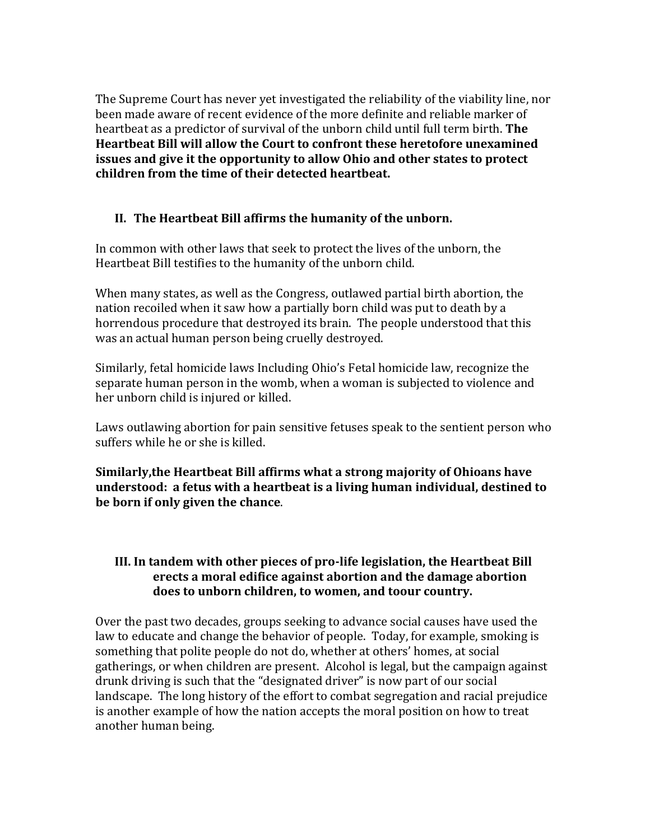The Supreme Court has never yet investigated the reliability of the viability line, nor been made aware of recent evidence of the more definite and reliable marker of heartbeat as a predictor of survival of the unborn child until full term birth. **The Heartbeat Bill will allow the Court to confront these heretofore unexamined issues and give it the opportunity to allow Ohio and other states to protect children from the time of their detected heartbeat.**

## **II. The Heartbeat Bill affirms the humanity of the unborn.**

In common with other laws that seek to protect the lives of the unborn, the Heartbeat Bill testifies to the humanity of the unborn child.

When many states, as well as the Congress, outlawed partial birth abortion, the nation recoiled when it saw how a partially born child was put to death by a horrendous procedure that destroyed its brain. The people understood that this was an actual human person being cruelly destroyed.

Similarly, fetal homicide laws Including Ohio's Fetal homicide law, recognize the separate human person in the womb, when a woman is subjected to violence and her unborn child is injured or killed.

Laws outlawing abortion for pain sensitive fetuses speak to the sentient person who suffers while he or she is killed.

**Similarly,the Heartbeat Bill affirms what a strong majority of Ohioans have understood: a fetus with a heartbeat is a living human individual, destined to be born if only given the chance**.

## **III. In tandem with other pieces of pro-life legislation, the Heartbeat Bill erects a moral edifice against abortion and the damage abortion does to unborn children, to women, and toour country.**

Over the past two decades, groups seeking to advance social causes have used the law to educate and change the behavior of people. Today, for example, smoking is something that polite people do not do, whether at others' homes, at social gatherings, or when children are present. Alcohol is legal, but the campaign against drunk driving is such that the "designated driver" is now part of our social landscape. The long history of the effort to combat segregation and racial prejudice is another example of how the nation accepts the moral position on how to treat another human being.